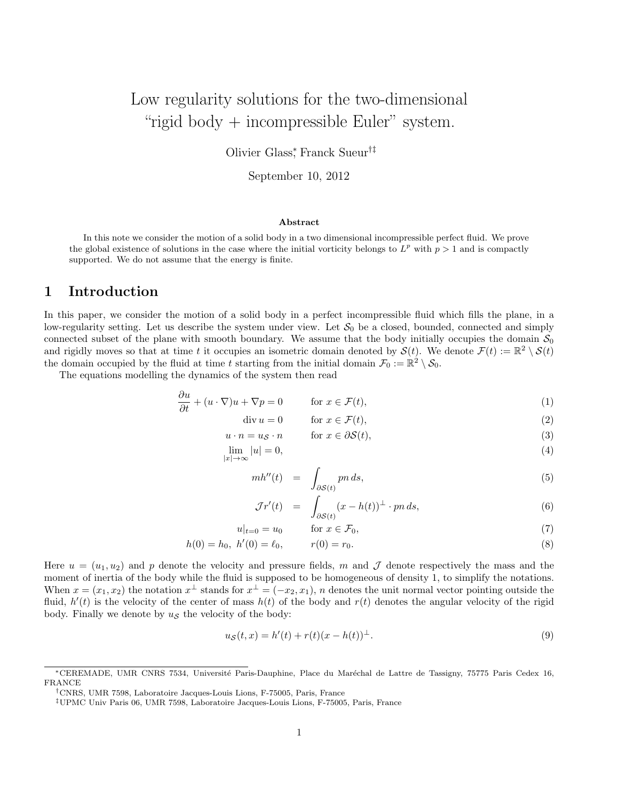# Low regularity solutions for the two-dimensional "rigid body  $+$  incompressible Euler" system.

Olivier Glass<sup>∗</sup> , Franck Sueur†‡

September 10, 2012

#### Abstract

In this note we consider the motion of a solid body in a two dimensional incompressible perfect fluid. We prove the global existence of solutions in the case where the initial vorticity belongs to  $L^p$  with  $p > 1$  and is compactly supported. We do not assume that the energy is finite.

## 1 Introduction

In this paper, we consider the motion of a solid body in a perfect incompressible fluid which fills the plane, in a low-regularity setting. Let us describe the system under view. Let  $S_0$  be a closed, bounded, connected and simply connected subset of the plane with smooth boundary. We assume that the body initially occupies the domain  $S_0$ and rigidly moves so that at time t it occupies an isometric domain denoted by  $\mathcal{S}(t)$ . We denote  $\mathcal{F}(t) := \mathbb{R}^2 \setminus \mathcal{S}(t)$ the domain occupied by the fluid at time t starting from the initial domain  $\mathcal{F}_0 := \mathbb{R}^2 \setminus \mathcal{S}_0$ .

The equations modelling the dynamics of the system then read

∂u

$$
\frac{\partial u}{\partial t} + (u \cdot \nabla)u + \nabla p = 0 \qquad \text{for } x \in \mathcal{F}(t),
$$
 (1)

$$
\text{div } u = 0 \qquad \text{for } x \in \mathcal{F}(t), \tag{2}
$$

$$
u \cdot n = u_{\mathcal{S}} \cdot n \qquad \text{for } x \in \partial \mathcal{S}(t), \tag{3}
$$

$$
\lim_{|x| \to \infty} |u| = 0,\tag{4}
$$

$$
mh''(t) = \int_{\partial \mathcal{S}(t)} pn \, ds,\tag{5}
$$

$$
\mathcal{J}r'(t) = \int_{\partial \mathcal{S}(t)} (x - h(t))^{\perp} \cdot p n \, ds,\tag{6}
$$

$$
u|_{t=0} = u_0 \qquad \text{for } x \in \mathcal{F}_0,\tag{7}
$$

$$
h(0) = h_0, \ h'(0) = \ell_0, \qquad r(0) = r_0. \tag{8}
$$

Here  $u = (u_1, u_2)$  and p denote the velocity and pressure fields, m and J denote respectively the mass and the moment of inertia of the body while the fluid is supposed to be homogeneous of density 1, to simplify the notations. When  $x = (x_1, x_2)$  the notation  $x^{\perp}$  stands for  $x^{\perp} = (-x_2, x_1)$ , n denotes the unit normal vector pointing outside the fluid,  $h'(t)$  is the velocity of the center of mass  $h(t)$  of the body and  $r(t)$  denotes the angular velocity of the rigid body. Finally we denote by  $u<sub>S</sub>$  the velocity of the body:

$$
u_{\mathcal{S}}(t,x) = h'(t) + r(t)(x - h(t))^{\perp}.
$$
\n(9)

<sup>∗</sup>CEREMADE, UMR CNRS 7534, Universit´e Paris-Dauphine, Place du Mar´echal de Lattre de Tassigny, 75775 Paris Cedex 16, FRANCE

<sup>†</sup>CNRS, UMR 7598, Laboratoire Jacques-Louis Lions, F-75005, Paris, France

<sup>‡</sup>UPMC Univ Paris 06, UMR 7598, Laboratoire Jacques-Louis Lions, F-75005, Paris, France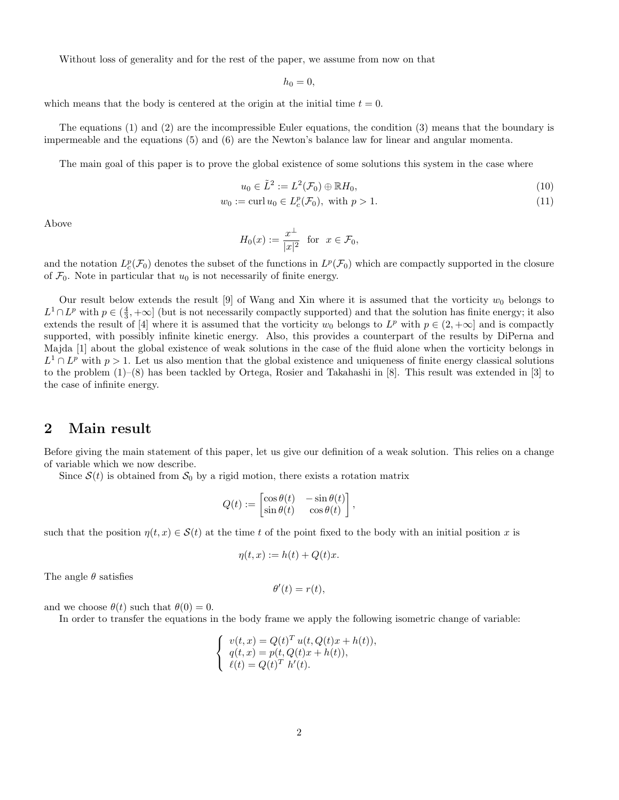Without loss of generality and for the rest of the paper, we assume from now on that

 $h_0 = 0,$ 

which means that the body is centered at the origin at the initial time  $t = 0$ .

The equations (1) and (2) are the incompressible Euler equations, the condition (3) means that the boundary is impermeable and the equations (5) and (6) are the Newton's balance law for linear and angular momenta.

The main goal of this paper is to prove the global existence of some solutions this system in the case where

$$
u_0 \in \tilde{L}^2 := L^2(\mathcal{F}_0) \oplus \mathbb{R}H_0,\tag{10}
$$

$$
w_0 := \operatorname{curl} u_0 \in L_c^p(\mathcal{F}_0), \text{ with } p > 1.
$$
\n
$$
(11)
$$

Above

$$
H_0(x) := \frac{x^{\perp}}{|x|^2} \text{ for } x \in \mathcal{F}_0,
$$

and the notation  $L_c^p(\mathcal{F}_0)$  denotes the subset of the functions in  $L^p(\mathcal{F}_0)$  which are compactly supported in the closure of  $\mathcal{F}_0$ . Note in particular that  $u_0$  is not necessarily of finite energy.

Our result below extends the result [9] of Wang and Xin where it is assumed that the vorticity  $w_0$  belongs to  $L^1 \cap L^p$  with  $p \in (\frac{4}{3}, +\infty]$  (but is not necessarily compactly supported) and that the solution has finite energy; it also extends the result of [4] where it is assumed that the vorticity  $w_0$  belongs to  $L^p$  with  $p \in (2, +\infty]$  and is compactly supported, with possibly infinite kinetic energy. Also, this provides a counterpart of the results by DiPerna and Majda [1] about the global existence of weak solutions in the case of the fluid alone when the vorticity belongs in  $L^1 \cap L^p$  with  $p > 1$ . Let us also mention that the global existence and uniqueness of finite energy classical solutions to the problem (1)–(8) has been tackled by Ortega, Rosier and Takahashi in [8]. This result was extended in [3] to the case of infinite energy.

# 2 Main result

Before giving the main statement of this paper, let us give our definition of a weak solution. This relies on a change of variable which we now describe.

Since  $S(t)$  is obtained from  $S_0$  by a rigid motion, there exists a rotation matrix

$$
Q(t) := \begin{bmatrix} \cos \theta(t) & -\sin \theta(t) \\ \sin \theta(t) & \cos \theta(t) \end{bmatrix},
$$

such that the position  $\eta(t, x) \in \mathcal{S}(t)$  at the time t of the point fixed to the body with an initial position x is

$$
\eta(t, x) := h(t) + Q(t)x.
$$

The angle  $\theta$  satisfies

$$
\theta'(t) = r(t),
$$

and we choose  $\theta(t)$  such that  $\theta(0) = 0$ .

In order to transfer the equations in the body frame we apply the following isometric change of variable:

$$
\begin{cases}\nv(t,x) = Q(t)^T u(t, Q(t)x + h(t)), \\
q(t,x) = p(t, Q(t)x + h(t)), \\
\ell(t) = Q(t)^T h'(t).\n\end{cases}
$$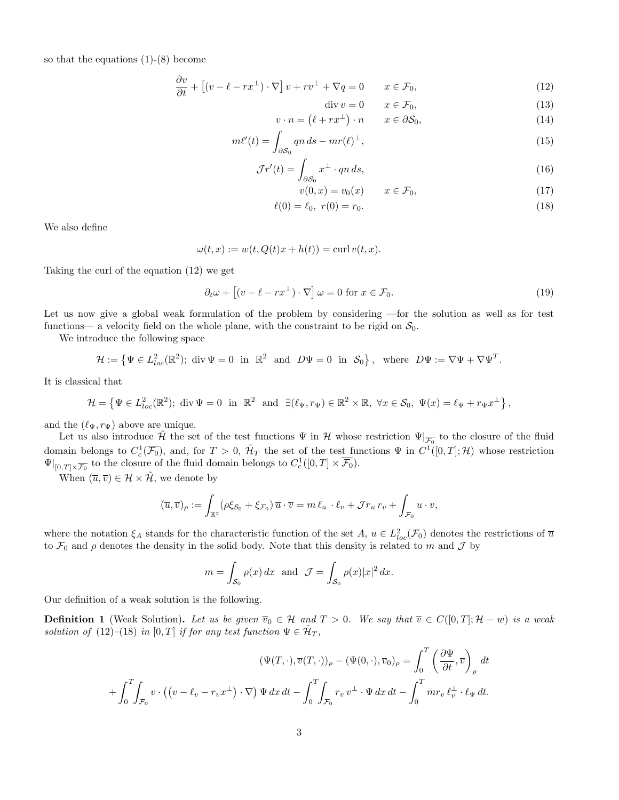so that the equations (1)-(8) become

$$
\frac{\partial v}{\partial t} + \left[ (v - \ell - rx^{\perp}) \cdot \nabla \right] v + rv^{\perp} + \nabla q = 0 \qquad x \in \mathcal{F}_0,
$$
\n(12)

$$
\operatorname{div} v = 0 \qquad x \in \mathcal{F}_0,\tag{13}
$$

$$
v \cdot n = (\ell + rx^{\perp}) \cdot n \qquad x \in \partial S_0,\tag{14}
$$

$$
m\ell'(t) = \int_{\partial \mathcal{S}_0} qn \, ds - mr(\ell)^{\perp}, \tag{15}
$$

$$
\mathcal{J}r'(t) = \int_{\partial \mathcal{S}_0} x^{\perp} \cdot qn \, ds,\tag{16}
$$

$$
v(0,x) = v_0(x) \qquad x \in \mathcal{F}_0,\tag{17}
$$

$$
\ell(0) = \ell_0, \ r(0) = r_0. \tag{18}
$$

We also define

$$
\omega(t, x) := w(t, Q(t)x + h(t)) = \operatorname{curl} v(t, x).
$$

Taking the curl of the equation (12) we get

$$
\partial_t \omega + \left[ (v - \ell - rx^\perp) \cdot \nabla \right] \omega = 0 \text{ for } x \in \mathcal{F}_0. \tag{19}
$$

Let us now give a global weak formulation of the problem by considering —for the solution as well as for test functions— a velocity field on the whole plane, with the constraint to be rigid on  $S_0$ .

We introduce the following space

 $\mathcal{H} := \{ \Psi \in L^2_{loc}(\mathbb{R}^2) ; \text{ div } \Psi = 0 \text{ in } \mathbb{R}^2 \text{ and } D\Psi = 0 \text{ in } \mathcal{S}_0 \}, \text{ where } D\Psi := \nabla \Psi + \nabla \Psi^T.$ 

It is classical that

 $\mathcal{H} = \left\{ \Psi \in L^2_{loc}(\mathbb{R}^2) ; \text{ div } \Psi = 0 \text{ in } \mathbb{R}^2 \text{ and } \exists (\ell_{\Psi}, r_{\Psi}) \in \mathbb{R}^2 \times \mathbb{R}, \forall x \in \mathcal{S}_0, \Psi(x) = \ell_{\Psi} + r_{\Psi} x^{\perp} \right\},\$ 

and the  $(\ell_{\Psi}, r_{\Psi})$  above are unique.

Let us also introduce  $\tilde{\mathcal{H}}$  the set of the test functions  $\Psi$  in  $\mathcal{H}$  whose restriction  $\Psi|_{\overline{\mathcal{F}_0}}$  to the closure of the fluid domain belongs to  $C_c^1(\overline{\mathcal{F}_0})$ , and, for  $T > 0$ ,  $\mathcal{H}_T$  the set of the test functions  $\Psi$  in  $C^1([0,T];\mathcal{H})$  whose restriction  $\Psi|_{[0,T]\times\overline{\mathcal{F}_0}}$  to the closure of the fluid domain belongs to  $C_c^1([0,T]\times\overline{\mathcal{F}_0})$ .

When  $(\overline{u}, \overline{v}) \in \mathcal{H} \times \tilde{\mathcal{H}}$ , we denote by

$$
(\overline{u},\overline{v})_{\rho} := \int_{\mathbb{R}^2} (\rho \xi_{\mathcal{S}_0} + \xi_{\mathcal{F}_0}) \overline{u} \cdot \overline{v} = m \ell_u \cdot \ell_v + \mathcal{J} r_u r_v + \int_{\mathcal{F}_0} u \cdot v,
$$

where the notation  $\xi_A$  stands for the characteristic function of the set  $A, u \in L^2_{loc}(\mathcal{F}_0)$  denotes the restrictions of  $\overline{u}$ to  $\mathcal{F}_0$  and  $\rho$  denotes the density in the solid body. Note that this density is related to m and  $\mathcal J$  by

$$
m = \int_{\mathcal{S}_0} \rho(x) dx \text{ and } \mathcal{J} = \int_{\mathcal{S}_0} \rho(x) |x|^2 dx.
$$

Our definition of a weak solution is the following.

**Definition 1** (Weak Solution). Let us be given  $\overline{v}_0 \in \mathcal{H}$  and  $T > 0$ . We say that  $\overline{v} \in C([0, T]; \mathcal{H} - w)$  is a weak solution of (12)–(18) in [0, T] if for any test function  $\Psi \in \tilde{\mathcal{H}}_T$ ,

$$
(\Psi(T,\cdot),\overline{v}(T,\cdot))_{\rho} - (\Psi(0,\cdot),\overline{v}_0)_{\rho} = \int_0^T \left(\frac{\partial \Psi}{\partial t},\overline{v}\right)_{\rho} dt
$$

$$
+ \int_0^T \int_{\mathcal{F}_0} v \cdot \left( \left(v - \ell_v - r_v x^{\perp} \right) \cdot \nabla \right) \Psi \, dx \, dt - \int_0^T \int_{\mathcal{F}_0} r_v v^{\perp} \cdot \Psi \, dx \, dt - \int_0^T m r_v \, \ell_v^{\perp} \cdot \ell_{\Psi} \, dt.
$$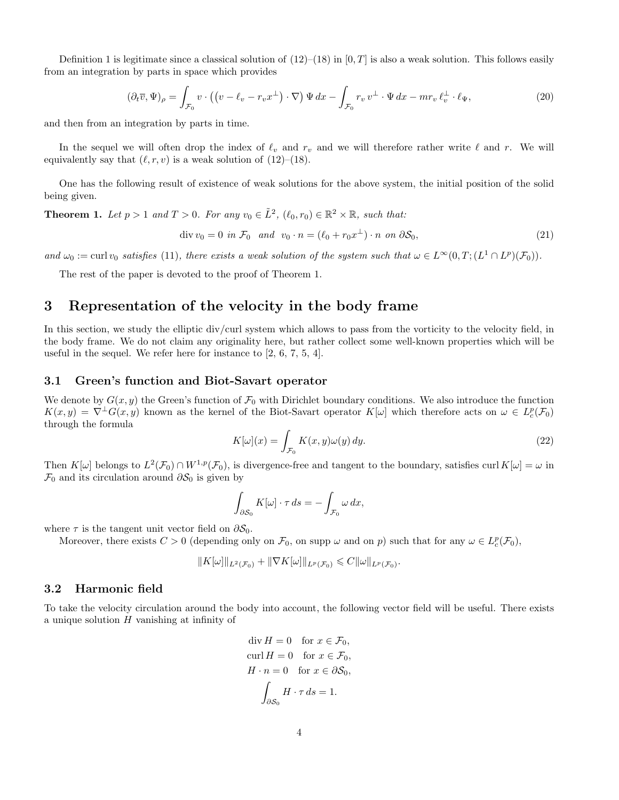Definition 1 is legitimate since a classical solution of  $(12)$ – $(18)$  in  $[0, T]$  is also a weak solution. This follows easily from an integration by parts in space which provides

$$
(\partial_t \overline{v}, \Psi)_{\rho} = \int_{\mathcal{F}_0} v \cdot ((v - \ell_v - r_v x^{\perp}) \cdot \nabla) \Psi dx - \int_{\mathcal{F}_0} r_v v^{\perp} \cdot \Psi dx - mr_v \ell_v^{\perp} \cdot \ell_\Psi,
$$
\n(20)

and then from an integration by parts in time.

In the sequel we will often drop the index of  $\ell_v$  and  $r_v$  and we will therefore rather write  $\ell$  and r. We will equivalently say that  $(\ell, r, v)$  is a weak solution of (12)–(18).

One has the following result of existence of weak solutions for the above system, the initial position of the solid being given.

**Theorem 1.** Let  $p > 1$  and  $T > 0$ . For any  $v_0 \in \tilde{L}^2$ ,  $(\ell_0, r_0) \in \mathbb{R}^2 \times \mathbb{R}$ , such that:

$$
\operatorname{div} v_0 = 0 \text{ in } \mathcal{F}_0 \quad \text{and} \quad v_0 \cdot n = (\ell_0 + r_0 x^\perp) \cdot n \text{ on } \partial \mathcal{S}_0,\tag{21}
$$

and  $\omega_0 := \text{curl } v_0$  satisfies (11), there exists a weak solution of the system such that  $\omega \in L^{\infty}(0,T;(L^1 \cap L^p)(\mathcal{F}_0)).$ 

The rest of the paper is devoted to the proof of Theorem 1.

# 3 Representation of the velocity in the body frame

In this section, we study the elliptic div/curl system which allows to pass from the vorticity to the velocity field, in the body frame. We do not claim any originality here, but rather collect some well-known properties which will be useful in the sequel. We refer here for instance to [2, 6, 7, 5, 4].

#### 3.1 Green's function and Biot-Savart operator

We denote by  $G(x, y)$  the Green's function of  $\mathcal{F}_0$  with Dirichlet boundary conditions. We also introduce the function  $K(x,y) = \nabla^{\perp} G(x,y)$  known as the kernel of the Biot-Savart operator  $K[\omega]$  which therefore acts on  $\omega \in L_c^p(\mathcal{F}_0)$ through the formula

$$
K[\omega](x) = \int_{\mathcal{F}_0} K(x, y)\omega(y) dy.
$$
 (22)

Then  $K[\omega]$  belongs to  $L^2(\mathcal{F}_0) \cap W^{1,p}(\mathcal{F}_0)$ , is divergence-free and tangent to the boundary, satisfies curl  $K[\omega] = \omega$  in  $\mathcal{F}_0$  and its circulation around  $\partial \mathcal{S}_0$  is given by

$$
\int_{\partial S_0} K[\omega] \cdot \tau ds = - \int_{\mathcal{F}_0} \omega dx,
$$

where  $\tau$  is the tangent unit vector field on  $\partial \mathcal{S}_0$ .

Moreover, there exists  $C > 0$  (depending only on  $\mathcal{F}_0$ , on supp  $\omega$  and on p) such that for any  $\omega \in L_c^p(\mathcal{F}_0)$ ,

$$
||K[\omega]||_{L^2(\mathcal{F}_0)} + ||\nabla K[\omega]||_{L^p(\mathcal{F}_0)} \leqslant C ||\omega||_{L^p(\mathcal{F}_0)}.
$$

### 3.2 Harmonic field

To take the velocity circulation around the body into account, the following vector field will be useful. There exists a unique solution  $H$  vanishing at infinity of

$$
\text{div } H = 0 \quad \text{for } x \in \mathcal{F}_0,
$$
  
\n
$$
\text{curl } H = 0 \quad \text{for } x \in \mathcal{F}_0,
$$
  
\n
$$
H \cdot n = 0 \quad \text{for } x \in \partial \mathcal{S}_0,
$$
  
\n
$$
\int_{\partial \mathcal{S}_0} H \cdot \tau \, ds = 1.
$$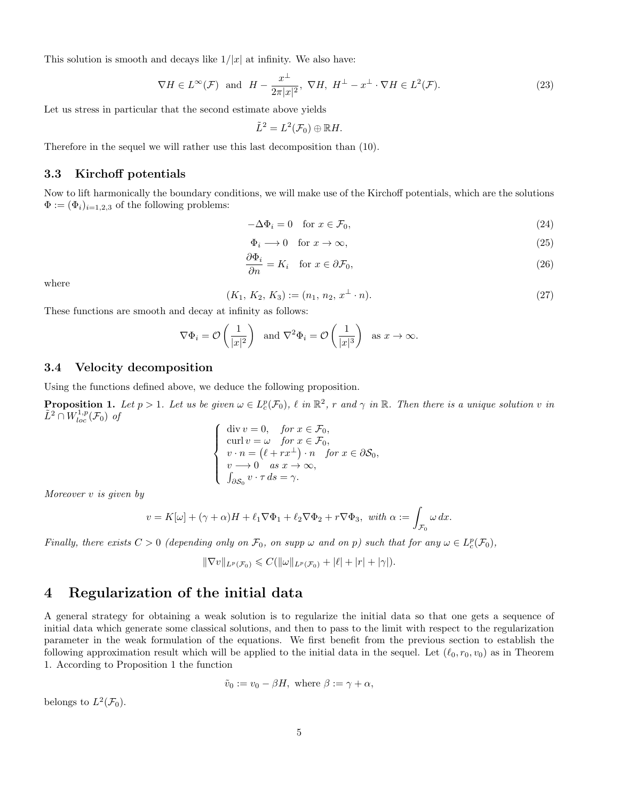This solution is smooth and decays like  $1/|x|$  at infinity. We also have:

$$
\nabla H \in L^{\infty}(\mathcal{F}) \text{ and } H - \frac{x^{\perp}}{2\pi|x|^{2}}, \ \nabla H, \ H^{\perp} - x^{\perp} \cdot \nabla H \in L^{2}(\mathcal{F}). \tag{23}
$$

Let us stress in particular that the second estimate above yields

$$
\tilde{L}^2 = L^2(\mathcal{F}_0) \oplus \mathbb{R}H.
$$

Therefore in the sequel we will rather use this last decomposition than (10).

### 3.3 Kirchoff potentials

Now to lift harmonically the boundary conditions, we will make use of the Kirchoff potentials, which are the solutions  $\Phi := (\Phi_i)_{i=1,2,3}$  of the following problems:

$$
-\Delta\Phi_i = 0 \quad \text{for } x \in \mathcal{F}_0,\tag{24}
$$

$$
\Phi_i \longrightarrow 0 \quad \text{for } x \to \infty,\tag{25}
$$

$$
\frac{\partial \Phi_i}{\partial n} = K_i \quad \text{for } x \in \partial \mathcal{F}_0,
$$
\n(26)

where

$$
(K_1, K_2, K_3) := (n_1, n_2, x^{\perp} \cdot n). \tag{27}
$$

These functions are smooth and decay at infinity as follows:

$$
\nabla \Phi_i = \mathcal{O}\left(\frac{1}{|x|^2}\right) \text{ and } \nabla^2 \Phi_i = \mathcal{O}\left(\frac{1}{|x|^3}\right) \text{ as } x \to \infty.
$$

### 3.4 Velocity decomposition

Using the functions defined above, we deduce the following proposition.

**Proposition 1.** Let  $p > 1$ . Let us be given  $\omega \in L_c^p(\mathcal{F}_0)$ ,  $\ell$  in  $\mathbb{R}^2$ , r and  $\gamma$  in  $\mathbb{R}$ . Then there is a unique solution v in  $\tilde{L}^2 \cap W^{1,p}_{loc}(\mathcal{F}_0)$  of

$$
\begin{cases}\n\text{div } v = 0, & \text{for } x \in \mathcal{F}_0, \\
\text{curl } v = \omega & \text{for } x \in \mathcal{F}_0, \\
v \cdot n = (\ell + rx^{\perp}) \cdot n & \text{for } x \in \partial \mathcal{S}_0, \\
v \rightarrow 0 & as < x \rightarrow \infty, \\
\int_{\partial \mathcal{S}_0} v \cdot \tau \, ds = \gamma.\n\end{cases}
$$

Moreover v is given by

$$
v = K[\omega] + (\gamma + \alpha)H + \ell_1 \nabla \Phi_1 + \ell_2 \nabla \Phi_2 + r \nabla \Phi_3, \text{ with } \alpha := \int_{\mathcal{F}_0} \omega \, dx.
$$

Finally, there exists  $C > 0$  (depending only on  $\mathcal{F}_0$ , on supp  $\omega$  and on p) such that for any  $\omega \in L_c^p(\mathcal{F}_0)$ ,

$$
\|\nabla v\|_{L^p(\mathcal{F}_0)} \leqslant C(\|\omega\|_{L^p(\mathcal{F}_0)} + |\ell| + |r| + |\gamma|).
$$

# 4 Regularization of the initial data

A general strategy for obtaining a weak solution is to regularize the initial data so that one gets a sequence of initial data which generate some classical solutions, and then to pass to the limit with respect to the regularization parameter in the weak formulation of the equations. We first benefit from the previous section to establish the following approximation result which will be applied to the initial data in the sequel. Let  $(\ell_0, r_0, v_0)$  as in Theorem 1. According to Proposition 1 the function

$$
\tilde{v}_0 := v_0 - \beta H
$$
, where  $\beta := \gamma + \alpha$ ,

belongs to  $L^2(\mathcal{F}_0)$ .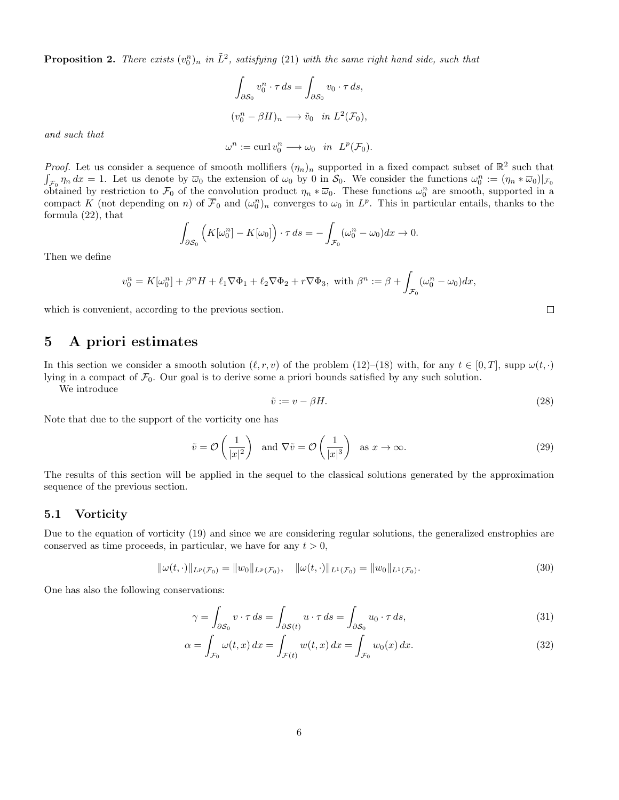**Proposition 2.** There exists  $(v_0^n)_n$  in  $\tilde{L}^2$ , satisfying (21) with the same right hand side, such that

$$
\int_{\partial S_0} v_0^n \cdot \tau ds = \int_{\partial S_0} v_0 \cdot \tau ds,
$$
  

$$
(v_0^n - \beta H)_n \longrightarrow \tilde{v}_0 \text{ in } L^2(\mathcal{F}_0),
$$

and such that

$$
\omega^n := \operatorname{curl} v_0^n \longrightarrow \omega_0 \quad in \quad L^p(\mathcal{F}_0).
$$

*Proof.* Let us consider a sequence of smooth mollifiers  $(\eta_n)_n$  supported in a fixed compact subset of  $\mathbb{R}^2$  such that  $\int_{\mathcal{F}_0} \eta_n dx = 1$ . Let us denote by  $\overline{\omega}_0$  the extension of  $\omega_0$  by 0 in  $\mathcal{S}_0$ . We consider the functions  $\omega_0^n := (\eta_n * \overline{\omega}_0)|_{\mathcal{F}_0}$ obtained by restriction to  $\mathcal{F}_0$  of the convolution product  $\eta_n * \overline{\omega}_0$ . These functions  $\omega_0^n$  are smooth, supported in a compact K (not depending on n) of  $\overline{\mathcal{F}}_0$  and  $(\omega_0^n)_n$  converges to  $\omega_0$  in  $L^p$ . This in particular entails, thanks to the formula (22), that Z

$$
\int_{\partial S_0} \left( K[\omega_0^n] - K[\omega_0] \right) \cdot \tau \, ds = - \int_{\mathcal{F}_0} (\omega_0^n - \omega_0) dx \to 0.
$$

Then we define

$$
v_0^n = K[\omega_0^n] + \beta^n H + \ell_1 \nabla \Phi_1 + \ell_2 \nabla \Phi_2 + r \nabla \Phi_3, \text{ with } \beta^n := \beta + \int_{\mathcal{F}_0} (\omega_0^n - \omega_0) dx,
$$

which is convenient, according to the previous section.

### 5 A priori estimates

In this section we consider a smooth solution  $(\ell, r, v)$  of the problem (12)–(18) with, for any  $t \in [0, T]$ , supp  $\omega(t, \cdot)$ lying in a compact of  $\mathcal{F}_0$ . Our goal is to derive some a priori bounds satisfied by any such solution.

We introduce

$$
\tilde{v} := v - \beta H. \tag{28}
$$

Note that due to the support of the vorticity one has

$$
\tilde{v} = \mathcal{O}\left(\frac{1}{|x|^2}\right)
$$
 and  $\nabla \tilde{v} = \mathcal{O}\left(\frac{1}{|x|^3}\right)$  as  $x \to \infty$ . (29)

The results of this section will be applied in the sequel to the classical solutions generated by the approximation sequence of the previous section.

#### 5.1 Vorticity

Due to the equation of vorticity (19) and since we are considering regular solutions, the generalized enstrophies are conserved as time proceeds, in particular, we have for any  $t > 0$ ,

$$
\|\omega(t,\cdot)\|_{L^p(\mathcal{F}_0)} = \|w_0\|_{L^p(\mathcal{F}_0)}, \quad \|\omega(t,\cdot)\|_{L^1(\mathcal{F}_0)} = \|w_0\|_{L^1(\mathcal{F}_0)}.
$$
\n(30)

One has also the following conservations:

$$
\gamma = \int_{\partial S_0} v \cdot \tau \, ds = \int_{\partial S(t)} u \cdot \tau \, ds = \int_{\partial S_0} u_0 \cdot \tau \, ds,\tag{31}
$$

$$
\alpha = \int_{\mathcal{F}_0} \omega(t, x) dx = \int_{\mathcal{F}(t)} w(t, x) dx = \int_{\mathcal{F}_0} w_0(x) dx.
$$
\n(32)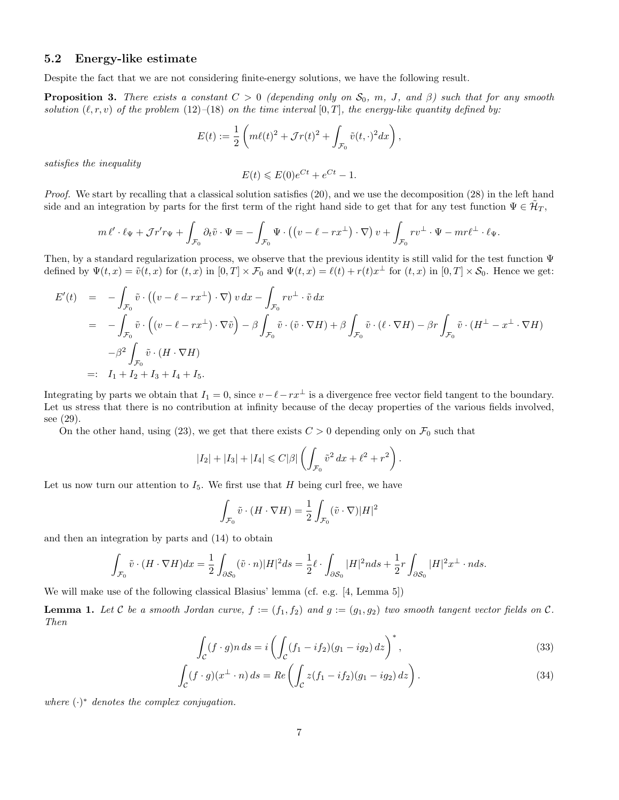### 5.2 Energy-like estimate

Despite the fact that we are not considering finite-energy solutions, we have the following result.

**Proposition 3.** There exists a constant  $C > 0$  (depending only on  $S_0$ , m, J, and  $\beta$ ) such that for any smooth solution  $(\ell, r, v)$  of the problem  $(12)$ – $(18)$  on the time interval  $[0, T]$ , the energy-like quantity defined by:

$$
E(t) := \frac{1}{2} \left( m\ell(t)^2 + \mathcal{J}r(t)^2 + \int_{\mathcal{F}_0} \tilde{v}(t,\cdot)^2 dx \right),
$$

satisfies the inequality

$$
E(t) \leqslant E(0)e^{Ct} + e^{Ct} - 1.
$$

Proof. We start by recalling that a classical solution satisfies (20), and we use the decomposition (28) in the left hand side and an integration by parts for the first term of the right hand side to get that for any test function  $\Psi \in \mathcal{H}_T$ ,

$$
m\,\ell'\cdot\ell_{\Psi}+\mathcal{J}r'r_{\Psi}+\int_{\mathcal{F}_0}\partial_t\tilde{v}\cdot\Psi=-\int_{\mathcal{F}_0}\Psi\cdot\left(\left(v-\ell-rx^{\perp}\right)\cdot\nabla\right)v+\int_{\mathcal{F}_0}rv^{\perp}\cdot\Psi-mr\ell^{\perp}\cdot\ell_{\Psi}.
$$

Then, by a standard regularization process, we observe that the previous identity is still valid for the test function Ψ defined by  $\Psi(t,x) = \tilde{v}(t,x)$  for  $(t,x)$  in  $[0,T] \times \mathcal{F}_0$  and  $\Psi(t,x) = \ell(t) + r(t)x^{\perp}$  for  $(t,x)$  in  $[0,T] \times \mathcal{S}_0$ . Hence we get:

$$
E'(t) = -\int_{\mathcal{F}_0} \tilde{v} \cdot ((v - \ell - rx^{\perp}) \cdot \nabla) v dx - \int_{\mathcal{F}_0} rv^{\perp} \cdot \tilde{v} dx
$$
  
\n
$$
= -\int_{\mathcal{F}_0} \tilde{v} \cdot ((v - \ell - rx^{\perp}) \cdot \nabla \tilde{v}) - \beta \int_{\mathcal{F}_0} \tilde{v} \cdot (\tilde{v} \cdot \nabla H) + \beta \int_{\mathcal{F}_0} \tilde{v} \cdot (\ell \cdot \nabla H) - \beta r \int_{\mathcal{F}_0} \tilde{v} \cdot (H^{\perp} - x^{\perp} \cdot \nabla H)
$$
  
\n
$$
- \beta^2 \int_{\mathcal{F}_0} \tilde{v} \cdot (H \cdot \nabla H)
$$
  
\n
$$
= \left[ I_1 + I_2 + I_3 + I_4 + I_5. \right]
$$

Integrating by parts we obtain that  $I_1 = 0$ , since  $v - \ell - rx^\perp$  is a divergence free vector field tangent to the boundary. Let us stress that there is no contribution at infinity because of the decay properties of the various fields involved, see (29).

On the other hand, using (23), we get that there exists  $C > 0$  depending only on  $\mathcal{F}_0$  such that

$$
|I_2| + |I_3| + |I_4| \leq C|\beta| \left( \int_{\mathcal{F}_0} \tilde{v}^2 dx + \ell^2 + r^2 \right).
$$

Let us now turn our attention to  $I_5$ . We first use that H being curl free, we have

$$
\int_{\mathcal{F}_0} \tilde{v} \cdot (H \cdot \nabla H) = \frac{1}{2} \int_{\mathcal{F}_0} (\tilde{v} \cdot \nabla) |H|^2
$$

and then an integration by parts and (14) to obtain

$$
\int_{\mathcal{F}_0} \tilde{v} \cdot (H \cdot \nabla H) dx = \frac{1}{2} \int_{\partial \mathcal{S}_0} (\tilde{v} \cdot n) |H|^2 ds = \frac{1}{2} \ell \cdot \int_{\partial \mathcal{S}_0} |H|^2 n ds + \frac{1}{2} r \int_{\partial \mathcal{S}_0} |H|^2 x^{\perp} \cdot n ds.
$$

We will make use of the following classical Blasius' lemma (cf. e.g. [4, Lemma 5])

**Lemma 1.** Let C be a smooth Jordan curve,  $f := (f_1, f_2)$  and  $g := (g_1, g_2)$  two smooth tangent vector fields on C. Then

$$
\int_{\mathcal{C}} (f \cdot g) n \, ds = i \left( \int_{\mathcal{C}} (f_1 - if_2)(g_1 - ig_2) \, dz \right)^*,\tag{33}
$$

$$
\int_{\mathcal{C}} (f \cdot g)(x^{\perp} \cdot n) ds = Re \left( \int_{\mathcal{C}} z(f_1 - if_2)(g_1 - ig_2) dz \right).
$$
\n(34)

where  $(\cdot)^*$  denotes the complex conjugation.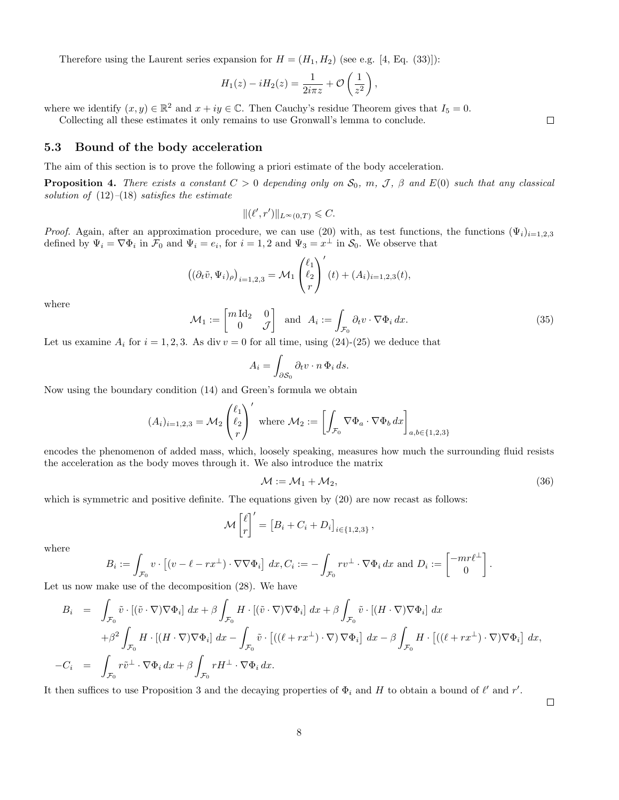Therefore using the Laurent series expansion for  $H = (H_1, H_2)$  (see e.g. [4, Eq. (33)]):

$$
H_1(z) - iH_2(z) = \frac{1}{2i\pi z} + \mathcal{O}\left(\frac{1}{z^2}\right),\,
$$

where we identify  $(x, y) \in \mathbb{R}^2$  and  $x + iy \in \mathbb{C}$ . Then Cauchy's residue Theorem gives that  $I_5 = 0$ .

Collecting all these estimates it only remains to use Gronwall's lemma to conclude.

### 5.3 Bound of the body acceleration

The aim of this section is to prove the following a priori estimate of the body acceleration.

**Proposition 4.** There exists a constant  $C > 0$  depending only on  $S_0$ , m, J,  $\beta$  and  $E(0)$  such that any classical solution of  $(12)$ – $(18)$  satisfies the estimate

$$
\|(\ell',r')\|_{L^{\infty}(0,T)} \leqslant C.
$$

*Proof.* Again, after an approximation procedure, we can use (20) with, as test functions, the functions  $(\Psi_i)_{i=1,2,3}$ defined by  $\Psi_i = \nabla \Phi_i$  in  $\mathcal{F}_0$  and  $\Psi_i = e_i$ , for  $i = 1, 2$  and  $\Psi_3 = x^{\perp}$  in  $\mathcal{S}_0$ . We observe that

$$
\left( (\partial_t \tilde{v}, \Psi_i)_{\rho} \right)_{i=1,2,3} = \mathcal{M}_1 \begin{pmatrix} \ell_1 \\ \ell_2 \\ r \end{pmatrix}'(t) + (A_i)_{i=1,2,3}(t),
$$

where

$$
\mathcal{M}_1 := \begin{bmatrix} m \, \text{Id}_2 & 0 \\ 0 & \mathcal{J} \end{bmatrix} \text{ and } A_i := \int_{\mathcal{F}_0} \partial_t v \cdot \nabla \Phi_i \, dx. \tag{35}
$$

Let us examine  $A_i$  for  $i = 1, 2, 3$ . As div  $v = 0$  for all time, using  $(24)-(25)$  we deduce that

$$
A_i = \int_{\partial \mathcal{S}_0} \partial_t v \cdot n \, \Phi_i \, ds.
$$

Now using the boundary condition (14) and Green's formula we obtain

$$
(A_i)_{i=1,2,3} = \mathcal{M}_2 \begin{pmatrix} \ell_1 \\ \ell_2 \\ r \end{pmatrix}' \text{ where } \mathcal{M}_2 := \left[ \int_{\mathcal{F}_0} \nabla \Phi_a \cdot \nabla \Phi_b \, dx \right]_{a,b \in \{1,2,3\}}
$$

encodes the phenomenon of added mass, which, loosely speaking, measures how much the surrounding fluid resists the acceleration as the body moves through it. We also introduce the matrix

$$
\mathcal{M} := \mathcal{M}_1 + \mathcal{M}_2,\tag{36}
$$

which is symmetric and positive definite. The equations given by  $(20)$  are now recast as follows:

$$
\mathcal{M}\begin{bmatrix} \ell \\ r \end{bmatrix}' = \begin{bmatrix} B_i + C_i + D_i \end{bmatrix}_{i \in \{1,2,3\}},
$$

where

$$
B_i := \int_{\mathcal{F}_0} v \cdot \left[ (v - \ell - rx^\perp) \cdot \nabla \nabla \Phi_i \right] dx, C_i := - \int_{\mathcal{F}_0} rv^\perp \cdot \nabla \Phi_i dx \text{ and } D_i := \begin{bmatrix} -mr\ell^\perp \\ 0 \end{bmatrix}.
$$

Let us now make use of the decomposition (28). We have

$$
B_i = \int_{\mathcal{F}_0} \tilde{v} \cdot [(\tilde{v} \cdot \nabla) \nabla \Phi_i] dx + \beta \int_{\mathcal{F}_0} H \cdot [(\tilde{v} \cdot \nabla) \nabla \Phi_i] dx + \beta \int_{\mathcal{F}_0} \tilde{v} \cdot [(H \cdot \nabla) \nabla \Phi_i] dx
$$
  

$$
+ \beta^2 \int_{\mathcal{F}_0} H \cdot [(H \cdot \nabla) \nabla \Phi_i] dx - \int_{\mathcal{F}_0} \tilde{v} \cdot [((\ell + rx^\perp) \cdot \nabla) \nabla \Phi_i] dx - \beta \int_{\mathcal{F}_0} H \cdot [((\ell + rx^\perp) \cdot \nabla) \nabla \Phi_i] dx,
$$
  

$$
-C_i = \int_{\mathcal{F}_0} r\tilde{v}^\perp \cdot \nabla \Phi_i dx + \beta \int_{\mathcal{F}_0} r H^\perp \cdot \nabla \Phi_i dx.
$$

It then suffices to use Proposition 3 and the decaying properties of  $\Phi_i$  and H to obtain a bound of  $\ell'$  and r'.

 $\Box$ 

 $\Box$